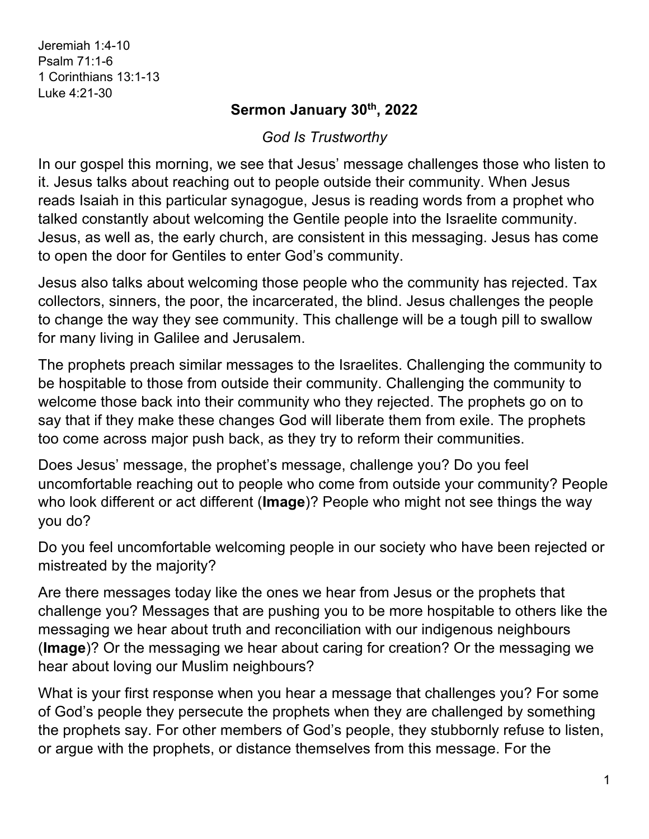Jeremiah 1:4-10 Psalm 71:1-6 1 Corinthians 13:1-13 Luke 4:21-30

## **Sermon January 30th, 2022**

## *God Is Trustworthy*

In our gospel this morning, we see that Jesus' message challenges those who listen to it. Jesus talks about reaching out to people outside their community. When Jesus reads Isaiah in this particular synagogue, Jesus is reading words from a prophet who talked constantly about welcoming the Gentile people into the Israelite community. Jesus, as well as, the early church, are consistent in this messaging. Jesus has come to open the door for Gentiles to enter God's community.

Jesus also talks about welcoming those people who the community has rejected. Tax collectors, sinners, the poor, the incarcerated, the blind. Jesus challenges the people to change the way they see community. This challenge will be a tough pill to swallow for many living in Galilee and Jerusalem.

The prophets preach similar messages to the Israelites. Challenging the community to be hospitable to those from outside their community. Challenging the community to welcome those back into their community who they rejected. The prophets go on to say that if they make these changes God will liberate them from exile. The prophets too come across major push back, as they try to reform their communities.

Does Jesus' message, the prophet's message, challenge you? Do you feel uncomfortable reaching out to people who come from outside your community? People who look different or act different (**Image**)? People who might not see things the way you do?

Do you feel uncomfortable welcoming people in our society who have been rejected or mistreated by the majority?

Are there messages today like the ones we hear from Jesus or the prophets that challenge you? Messages that are pushing you to be more hospitable to others like the messaging we hear about truth and reconciliation with our indigenous neighbours (**Image**)? Or the messaging we hear about caring for creation? Or the messaging we hear about loving our Muslim neighbours?

What is your first response when you hear a message that challenges you? For some of God's people they persecute the prophets when they are challenged by something the prophets say. For other members of God's people, they stubbornly refuse to listen, or argue with the prophets, or distance themselves from this message. For the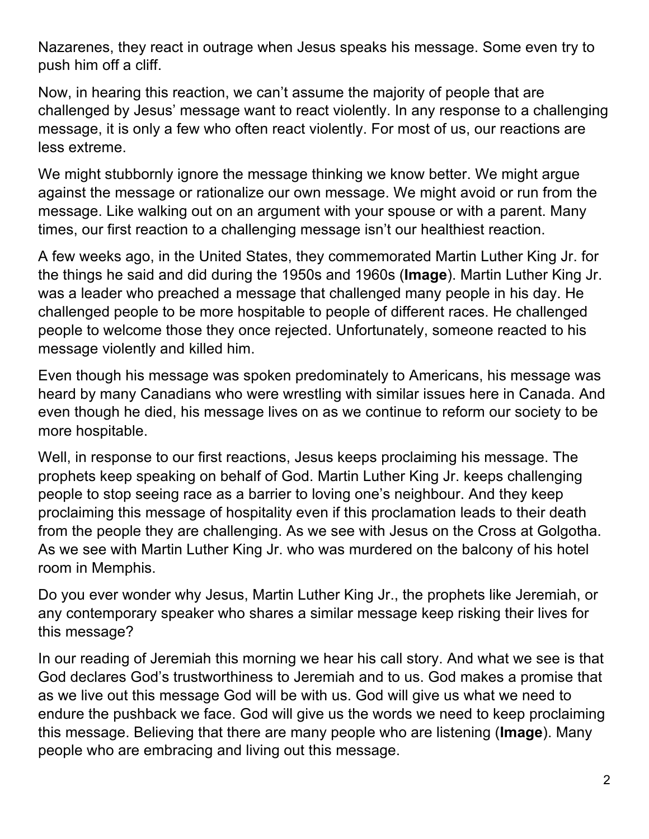Nazarenes, they react in outrage when Jesus speaks his message. Some even try to push him off a cliff.

Now, in hearing this reaction, we can't assume the majority of people that are challenged by Jesus' message want to react violently. In any response to a challenging message, it is only a few who often react violently. For most of us, our reactions are less extreme.

We might stubbornly ignore the message thinking we know better. We might argue against the message or rationalize our own message. We might avoid or run from the message. Like walking out on an argument with your spouse or with a parent. Many times, our first reaction to a challenging message isn't our healthiest reaction.

A few weeks ago, in the United States, they commemorated Martin Luther King Jr. for the things he said and did during the 1950s and 1960s (**Image**). Martin Luther King Jr. was a leader who preached a message that challenged many people in his day. He challenged people to be more hospitable to people of different races. He challenged people to welcome those they once rejected. Unfortunately, someone reacted to his message violently and killed him.

Even though his message was spoken predominately to Americans, his message was heard by many Canadians who were wrestling with similar issues here in Canada. And even though he died, his message lives on as we continue to reform our society to be more hospitable.

Well, in response to our first reactions, Jesus keeps proclaiming his message. The prophets keep speaking on behalf of God. Martin Luther King Jr. keeps challenging people to stop seeing race as a barrier to loving one's neighbour. And they keep proclaiming this message of hospitality even if this proclamation leads to their death from the people they are challenging. As we see with Jesus on the Cross at Golgotha. As we see with Martin Luther King Jr. who was murdered on the balcony of his hotel room in Memphis.

Do you ever wonder why Jesus, Martin Luther King Jr., the prophets like Jeremiah, or any contemporary speaker who shares a similar message keep risking their lives for this message?

In our reading of Jeremiah this morning we hear his call story. And what we see is that God declares God's trustworthiness to Jeremiah and to us. God makes a promise that as we live out this message God will be with us. God will give us what we need to endure the pushback we face. God will give us the words we need to keep proclaiming this message. Believing that there are many people who are listening (**Image**). Many people who are embracing and living out this message.